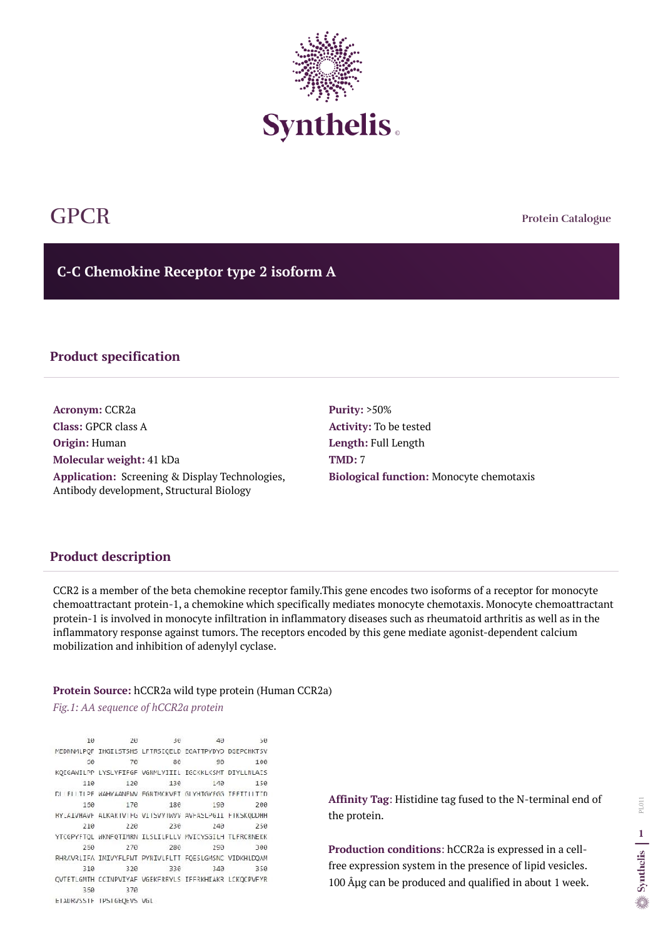**Protein Catalogue**

**C-C Chemokine Receptor type 2 isoform A**



# GPCR

## **Product specification**

**Acronym:** CCR2a **Class:** GPCR class A **Origin:** Human **Molecular weight:** 41 kDa **Application:** Screening & Display Technologies, Antibody development, Structural Biology

**Purity:** >50% **Activity:** To be tested **Length:** Full Length **TMD:** 7 **Biological function:** Monocyte chemotaxis

## **Product description**

**Production conditions**: hCCR2a is expressed in a cellfree expression system in the presence of lipid vesicles. 100  $\hat{A}$ µg can be produced and qualified in about 1 week.

CCR2 is a member of the beta chemokine receptor family.This gene encodes two isoforms of a receptor for monocyte chemoattractant protein-1, a chemokine which specifically mediates monocyte chemotaxis. Monocyte chemoattractant protein-1 is involved in monocyte infiltration in inflammatory diseases such as rheumatoid arthritis as well as in the inflammatory response against tumors. The receptors encoded by this gene mediate agonist-dependent calcium mobilization and inhibition of adenylyl cyclase.

#### **Protein Source:** hCCR2a wild type protein (Human CCR2a)

*Fig.1: AA sequence of hCCR2a protein* 

10 20  $30$  $4<sub>0</sub>$  $50$ MEDNNMLPQF IHGILSTSHS LFTRSIQELD EGATTPYDYD DGEPCHKTSV 70 86  $50$ 99 100 KQIGAWILPP LYSLVFIFGF VGNMLVIIIL IGCKKLKSMT DIYLLNLAIS 110 120 130  $14<sub>0</sub>$ 150 DI FLITLPF WAHYAANFWV FGNTMCKVFT GLYHTGYFGG TEFTTLLTTD 193 150 170 186 200 RYLAIVHAVE ALKARIVIEG VIISVVIWVV AVEASLPGII FIKSKODOHH 210 220 230 240 250 YTCGPYFTQL WKNFQTIMRN ILSLILPLLV MVICYSGILH TLFRCRNEKK 250 270 280 293 300 RHRAVRLIFA INIVYFLFWT PYNIVLFLTT FQESLGMSNC VIDKHLDQAM 310 320 330 343 350 QVTETLGMTH CCINPVIYAF VGEKFRRYLS IFFRKHIAKR LCKQCPVFYR 370 350 ETADRVSSIF IPSIGEQEVS VGL

**Affinity Tag**: Histidine tag fused to the N-terminal end of the protein.